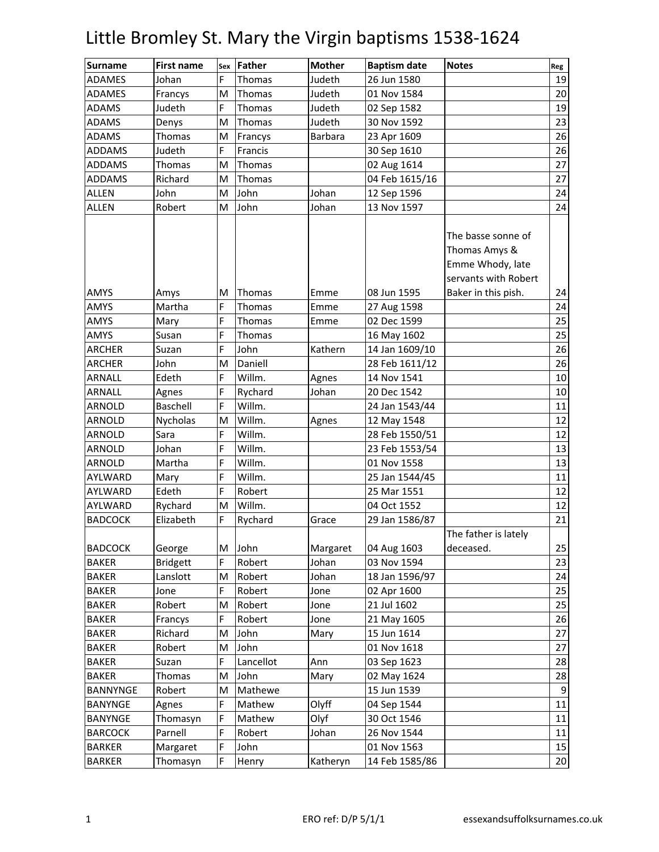| <b>Surname</b> | <b>First name</b> | Sex | <b>Father</b> | <b>Mother</b>  | <b>Baptism date</b> | <b>Notes</b>                                                                    | Reg |
|----------------|-------------------|-----|---------------|----------------|---------------------|---------------------------------------------------------------------------------|-----|
| <b>ADAMES</b>  | Johan             | F   | Thomas        | Judeth         | 26 Jun 1580         |                                                                                 | 19  |
| <b>ADAMES</b>  | Francys           | M   | Thomas        | Judeth         | 01 Nov 1584         |                                                                                 | 20  |
| <b>ADAMS</b>   | Judeth            | F   | Thomas        | Judeth         | 02 Sep 1582         |                                                                                 | 19  |
| <b>ADAMS</b>   | Denys             | M   | Thomas        | Judeth         | 30 Nov 1592         |                                                                                 | 23  |
| <b>ADAMS</b>   | Thomas            | M   | Francys       | <b>Barbara</b> | 23 Apr 1609         |                                                                                 | 26  |
| <b>ADDAMS</b>  | Judeth            | F   | Francis       |                | 30 Sep 1610         |                                                                                 | 26  |
| <b>ADDAMS</b>  | <b>Thomas</b>     | M   | Thomas        |                | 02 Aug 1614         |                                                                                 | 27  |
| <b>ADDAMS</b>  | Richard           | M   | Thomas        |                | 04 Feb 1615/16      |                                                                                 | 27  |
| <b>ALLEN</b>   | John              | M   | John          | Johan          | 12 Sep 1596         |                                                                                 | 24  |
| <b>ALLEN</b>   | Robert            | M   | John          | Johan          | 13 Nov 1597         |                                                                                 | 24  |
|                |                   |     |               |                |                     | The basse sonne of<br>Thomas Amys &<br>Emme Whody, late<br>servants with Robert |     |
| AMYS           | Amys              | M   | Thomas        | Emme           | 08 Jun 1595         | Baker in this pish.                                                             | 24  |
| AMYS           | Martha            | F   | Thomas        | Emme           | 27 Aug 1598         |                                                                                 | 24  |
| <b>AMYS</b>    | Mary              | F   | Thomas        | Emme           | 02 Dec 1599         |                                                                                 | 25  |
| <b>AMYS</b>    | Susan             | F   | Thomas        |                | 16 May 1602         |                                                                                 | 25  |
| <b>ARCHER</b>  | Suzan             | F   | John          | Kathern        | 14 Jan 1609/10      |                                                                                 | 26  |
| <b>ARCHER</b>  | John              | M   | Daniell       |                | 28 Feb 1611/12      |                                                                                 | 26  |
| <b>ARNALL</b>  | Edeth             | F   | Willm.        | Agnes          | 14 Nov 1541         |                                                                                 | 10  |
| <b>ARNALL</b>  | Agnes             | F   | Rychard       | Johan          | 20 Dec 1542         |                                                                                 | 10  |
| <b>ARNOLD</b>  | Baschell          | F   | Willm.        |                | 24 Jan 1543/44      |                                                                                 | 11  |
| ARNOLD         | Nycholas          | M   | Willm.        | Agnes          | 12 May 1548         |                                                                                 | 12  |
| <b>ARNOLD</b>  | Sara              | F   | Willm.        |                | 28 Feb 1550/51      |                                                                                 | 12  |
| <b>ARNOLD</b>  | Johan             | F   | Willm.        |                | 23 Feb 1553/54      |                                                                                 | 13  |
| ARNOLD         | Martha            | F   | Willm.        |                | 01 Nov 1558         |                                                                                 | 13  |
| AYLWARD        | Mary              | F   | Willm.        |                | 25 Jan 1544/45      |                                                                                 | 11  |
| AYLWARD        | Edeth             | F   | Robert        |                | 25 Mar 1551         |                                                                                 | 12  |
| AYLWARD        | Rychard           | M   | Willm.        |                | 04 Oct 1552         |                                                                                 | 12  |
| <b>BADCOCK</b> | Elizabeth         | F   | Rychard       | Grace          | 29 Jan 1586/87      |                                                                                 | 21  |
|                |                   |     |               |                |                     | The father is lately                                                            |     |
| <b>BADCOCK</b> | George            | M   | John          | Margaret       | 04 Aug 1603         | deceased.                                                                       | 25  |
| <b>BAKER</b>   | <b>Bridgett</b>   | F   | Robert        | Johan          | 03 Nov 1594         |                                                                                 | 23  |
| <b>BAKER</b>   | Lanslott          | M   | Robert        | Johan          | 18 Jan 1596/97      |                                                                                 | 24  |
| <b>BAKER</b>   | Jone              | F   | Robert        | Jone           | 02 Apr 1600         |                                                                                 | 25  |
| <b>BAKER</b>   | Robert            | M   | Robert        | Jone           | 21 Jul 1602         |                                                                                 | 25  |
| <b>BAKER</b>   | Francys           | F   | Robert        | Jone           | 21 May 1605         |                                                                                 | 26  |
| <b>BAKER</b>   | Richard           | M   | John          | Mary           | 15 Jun 1614         |                                                                                 | 27  |
| <b>BAKER</b>   | Robert            | M   | John          |                | 01 Nov 1618         |                                                                                 | 27  |
| <b>BAKER</b>   | Suzan             | F   | Lancellot     | Ann            | 03 Sep 1623         |                                                                                 | 28  |
| <b>BAKER</b>   | Thomas            | M   | John          | Mary           | 02 May 1624         |                                                                                 | 28  |
| BANNYNGE       | Robert            | M   | Mathewe       |                | 15 Jun 1539         |                                                                                 | 9   |
| <b>BANYNGE</b> | Agnes             | F   | Mathew        | Olyff          | 04 Sep 1544         |                                                                                 | 11  |
| <b>BANYNGE</b> | Thomasyn          | F   | Mathew        | Olyf           | 30 Oct 1546         |                                                                                 | 11  |
| <b>BARCOCK</b> | Parnell           | F   | Robert        | Johan          | 26 Nov 1544         |                                                                                 | 11  |
| <b>BARKER</b>  | Margaret          | F   | John          |                | 01 Nov 1563         |                                                                                 | 15  |
| <b>BARKER</b>  | Thomasyn          | F   | Henry         | Katheryn       | 14 Feb 1585/86      |                                                                                 | 20  |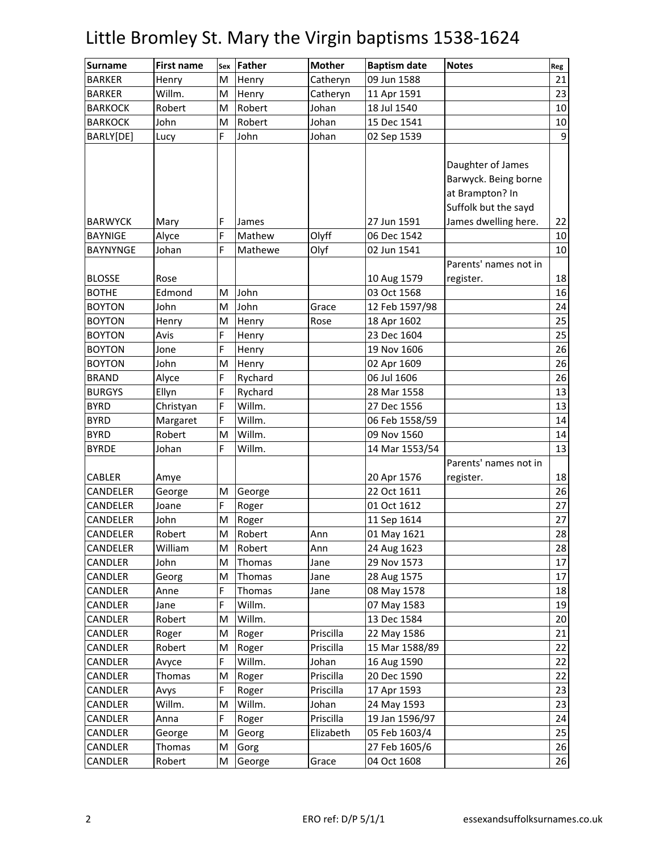| <b>Surname</b>  | <b>First name</b> | Sex | <b>Father</b> | <b>Mother</b> | <b>Baptism date</b> | <b>Notes</b>                                                                         | Reg |
|-----------------|-------------------|-----|---------------|---------------|---------------------|--------------------------------------------------------------------------------------|-----|
| <b>BARKER</b>   | Henry             | M   | Henry         | Catheryn      | 09 Jun 1588         |                                                                                      | 21  |
| <b>BARKER</b>   | Willm.            | M   | Henry         | Catheryn      | 11 Apr 1591         |                                                                                      | 23  |
| <b>BARKOCK</b>  | Robert            | M   | Robert        | Johan         | 18 Jul 1540         |                                                                                      | 10  |
| <b>BARKOCK</b>  | John              | M   | Robert        | Johan         | 15 Dec 1541         |                                                                                      | 10  |
| BARLY[DE]       | Lucy              | F   | John          | Johan         | 02 Sep 1539         |                                                                                      | 9   |
|                 |                   |     |               |               |                     | Daughter of James<br>Barwyck. Being borne<br>at Brampton? In<br>Suffolk but the sayd |     |
| <b>BARWYCK</b>  | Mary              | F   | James         |               | 27 Jun 1591         | James dwelling here.                                                                 | 22  |
| <b>BAYNIGE</b>  | Alyce             | F   | Mathew        | Olyff         | 06 Dec 1542         |                                                                                      | 10  |
| <b>BAYNYNGE</b> | Johan             | F   | Mathewe       | Olyf          | 02 Jun 1541         |                                                                                      | 10  |
|                 |                   |     |               |               |                     | Parents' names not in                                                                |     |
| <b>BLOSSE</b>   | Rose              |     |               |               | 10 Aug 1579         | register.                                                                            | 18  |
| <b>BOTHE</b>    | Edmond            | M   | John          |               | 03 Oct 1568         |                                                                                      | 16  |
| <b>BOYTON</b>   | John              | M   | John          | Grace         | 12 Feb 1597/98      |                                                                                      | 24  |
| <b>BOYTON</b>   | Henry             | M   | Henry         | Rose          | 18 Apr 1602         |                                                                                      | 25  |
| <b>BOYTON</b>   | Avis              | F   | Henry         |               | 23 Dec 1604         |                                                                                      | 25  |
| <b>BOYTON</b>   | Jone              | F   | Henry         |               | 19 Nov 1606         |                                                                                      | 26  |
| <b>BOYTON</b>   | John              | M   | Henry         |               | 02 Apr 1609         |                                                                                      | 26  |
| <b>BRAND</b>    | Alyce             | F   | Rychard       |               | 06 Jul 1606         |                                                                                      | 26  |
| <b>BURGYS</b>   | Ellyn             | F   | Rychard       |               | 28 Mar 1558         |                                                                                      | 13  |
| <b>BYRD</b>     | Christyan         | F   | Willm.        |               | 27 Dec 1556         |                                                                                      | 13  |
| <b>BYRD</b>     | Margaret          | F   | Willm.        |               | 06 Feb 1558/59      |                                                                                      | 14  |
| <b>BYRD</b>     | Robert            | M   | Willm.        |               | 09 Nov 1560         |                                                                                      | 14  |
| <b>BYRDE</b>    | Johan             | F   | Willm.        |               | 14 Mar 1553/54      |                                                                                      | 13  |
|                 |                   |     |               |               |                     | Parents' names not in                                                                |     |
| <b>CABLER</b>   | Amye              |     |               |               | 20 Apr 1576         | register.                                                                            | 18  |
| CANDELER        | George            | M   | George        |               | 22 Oct 1611         |                                                                                      | 26  |
| CANDELER        | Joane             | F   | Roger         |               | 01 Oct 1612         |                                                                                      | 27  |
| CANDELER        | John              | M   | Roger         |               | 11 Sep 1614         |                                                                                      | 27  |
| CANDELER        | Robert            | M   | Robert        | Ann           | 01 May 1621         |                                                                                      | 28  |
| CANDELER        | William           | м   | Robert        | Ann           | 24 Aug 1623         |                                                                                      | 28  |
| <b>CANDLER</b>  | John              | M   | Thomas        | Jane          | 29 Nov 1573         |                                                                                      | 17  |
| CANDLER         | Georg             | M   | Thomas        | Jane          | 28 Aug 1575         |                                                                                      | 17  |
| CANDLER         | Anne              | F   | Thomas        | Jane          | 08 May 1578         |                                                                                      | 18  |
| CANDLER         | Jane              | F   | Willm.        |               | 07 May 1583         |                                                                                      | 19  |
| CANDLER         | Robert            | M   | Willm.        |               | 13 Dec 1584         |                                                                                      | 20  |
| CANDLER         | Roger             | M   | Roger         | Priscilla     | 22 May 1586         |                                                                                      | 21  |
| CANDLER         | Robert            | M   | Roger         | Priscilla     | 15 Mar 1588/89      |                                                                                      | 22  |
| CANDLER         | Avyce             | F   | Willm.        | Johan         | 16 Aug 1590         |                                                                                      | 22  |
| CANDLER         | Thomas            | M   | Roger         | Priscilla     | 20 Dec 1590         |                                                                                      | 22  |
| CANDLER         | Avys              | F   | Roger         | Priscilla     | 17 Apr 1593         |                                                                                      | 23  |
| CANDLER         | Willm.            | M   | Willm.        | Johan         | 24 May 1593         |                                                                                      | 23  |
| CANDLER         | Anna              | F   | Roger         | Priscilla     | 19 Jan 1596/97      |                                                                                      | 24  |
| CANDLER         | George            | M   | Georg         | Elizabeth     | 05 Feb 1603/4       |                                                                                      | 25  |
| CANDLER         | Thomas            | M   | Gorg          |               | 27 Feb 1605/6       |                                                                                      | 26  |
| CANDLER         | Robert            | М   | George        | Grace         | 04 Oct 1608         |                                                                                      | 26  |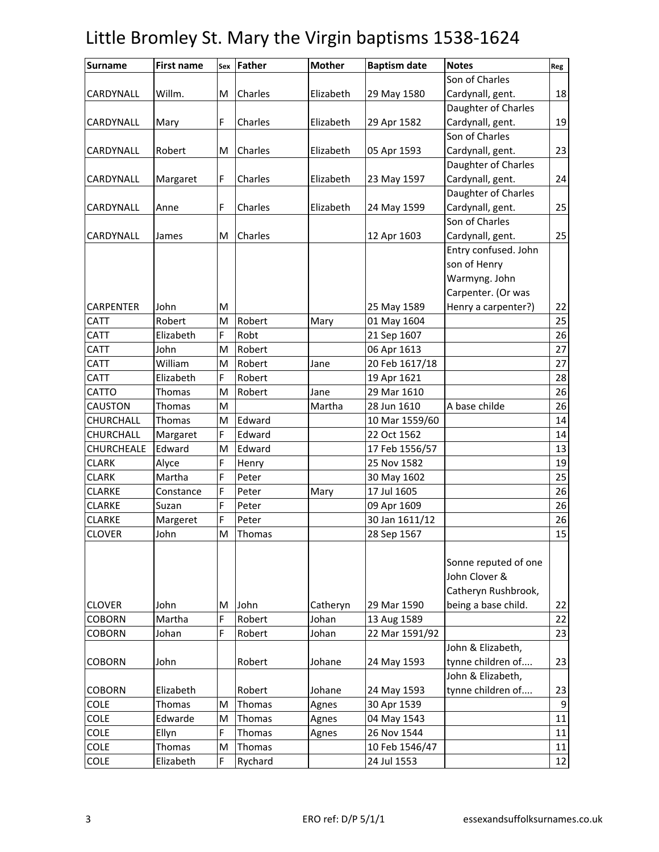| <b>Surname</b>   | <b>First name</b> | Sex | Father  | <b>Mother</b> | <b>Baptism date</b> | <b>Notes</b>         | Reg |
|------------------|-------------------|-----|---------|---------------|---------------------|----------------------|-----|
|                  |                   |     |         |               |                     | Son of Charles       |     |
| CARDYNALL        | Willm.            | M   | Charles | Elizabeth     | 29 May 1580         | Cardynall, gent.     | 18  |
|                  |                   |     |         |               |                     | Daughter of Charles  |     |
| CARDYNALL        | Mary              | F   | Charles | Elizabeth     | 29 Apr 1582         | Cardynall, gent.     | 19  |
|                  |                   |     |         |               |                     | Son of Charles       |     |
| CARDYNALL        | Robert            | M   | Charles | Elizabeth     | 05 Apr 1593         | Cardynall, gent.     | 23  |
|                  |                   |     |         |               |                     | Daughter of Charles  |     |
| CARDYNALL        | Margaret          | F   | Charles | Elizabeth     | 23 May 1597         | Cardynall, gent.     | 24  |
|                  |                   |     |         |               |                     | Daughter of Charles  |     |
| CARDYNALL        | Anne              | F   | Charles | Elizabeth     | 24 May 1599         | Cardynall, gent.     | 25  |
|                  |                   |     |         |               |                     | Son of Charles       |     |
| CARDYNALL        | James             | M   | Charles |               | 12 Apr 1603         | Cardynall, gent.     | 25  |
|                  |                   |     |         |               |                     | Entry confused. John |     |
|                  |                   |     |         |               |                     | son of Henry         |     |
|                  |                   |     |         |               |                     | Warmyng. John        |     |
|                  |                   |     |         |               |                     | Carpenter. (Or was   |     |
| <b>CARPENTER</b> | John              | M   |         |               | 25 May 1589         | Henry a carpenter?)  | 22  |
| <b>CATT</b>      | Robert            | M   | Robert  | Mary          | 01 May 1604         |                      | 25  |
| <b>CATT</b>      | Elizabeth         | F   | Robt    |               | 21 Sep 1607         |                      | 26  |
| <b>CATT</b>      | John              | М   | Robert  |               | 06 Apr 1613         |                      | 27  |
| CATT             | William           | M   | Robert  | Jane          | 20 Feb 1617/18      |                      | 27  |
| <b>CATT</b>      | Elizabeth         | F   | Robert  |               | 19 Apr 1621         |                      | 28  |
| CATTO            | Thomas            | M   | Robert  | Jane          | 29 Mar 1610         |                      | 26  |
| <b>CAUSTON</b>   | Thomas            | M   |         | Martha        | 28 Jun 1610         | A base childe        | 26  |
| CHURCHALL        | Thomas            | M   | Edward  |               | 10 Mar 1559/60      |                      | 14  |
| CHURCHALL        | Margaret          | F   | Edward  |               | 22 Oct 1562         |                      | 14  |
| CHURCHEALE       | Edward            | M   | Edward  |               | 17 Feb 1556/57      |                      | 13  |
| <b>CLARK</b>     | Alyce             | F   | Henry   |               | 25 Nov 1582         |                      | 19  |
| <b>CLARK</b>     | Martha            | F   | Peter   |               | 30 May 1602         |                      | 25  |
| <b>CLARKE</b>    | Constance         | F   | Peter   | Mary          | 17 Jul 1605         |                      | 26  |
| <b>CLARKE</b>    | Suzan             | F   | Peter   |               | 09 Apr 1609         |                      | 26  |
| <b>CLARKE</b>    | Margeret          | F   | Peter   |               | 30 Jan 1611/12      |                      | 26  |
| <b>CLOVER</b>    | John              | M   | Thomas  |               | 28 Sep 1567         |                      | 15  |
|                  |                   |     |         |               |                     |                      |     |
|                  |                   |     |         |               |                     | Sonne reputed of one |     |
|                  |                   |     |         |               |                     | John Clover &        |     |
|                  |                   |     |         |               |                     | Catheryn Rushbrook,  |     |
| <b>CLOVER</b>    | John              | M   | John    | Catheryn      | 29 Mar 1590         | being a base child.  | 22  |
| <b>COBORN</b>    | Martha            | F   | Robert  | Johan         | 13 Aug 1589         |                      | 22  |
| <b>COBORN</b>    | Johan             | F   | Robert  | Johan         | 22 Mar 1591/92      |                      | 23  |
|                  |                   |     |         |               |                     | John & Elizabeth,    |     |
| <b>COBORN</b>    | John              |     | Robert  | Johane        | 24 May 1593         | tynne children of    | 23  |
|                  |                   |     |         |               |                     | John & Elizabeth,    |     |
| <b>COBORN</b>    | Elizabeth         |     | Robert  | Johane        | 24 May 1593         | tynne children of    | 23  |
| <b>COLE</b>      | Thomas            | М   | Thomas  | Agnes         | 30 Apr 1539         |                      | 9   |
| <b>COLE</b>      | Edwarde           | M   | Thomas  | Agnes         | 04 May 1543         |                      | 11  |
| COLE             | Ellyn             | F   | Thomas  | Agnes         | 26 Nov 1544         |                      | 11  |
| <b>COLE</b>      | Thomas            | M   | Thomas  |               | 10 Feb 1546/47      |                      | 11  |
| COLE             | Elizabeth         | F   | Rychard |               | 24 Jul 1553         |                      | 12  |
|                  |                   |     |         |               |                     |                      |     |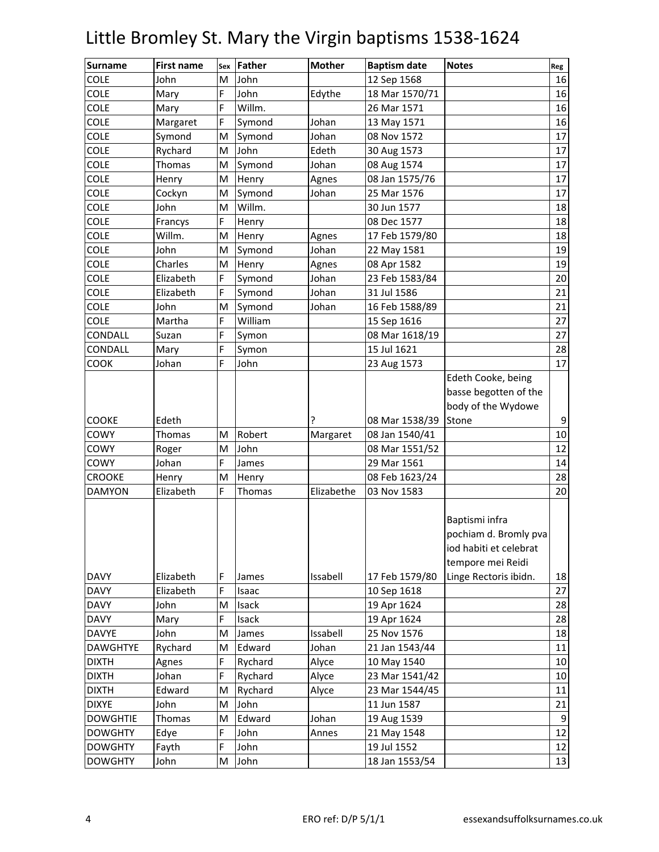| <b>Surname</b>  | <b>First name</b> | Sex | <b>Father</b> | <b>Mother</b> | <b>Baptism date</b> | <b>Notes</b>                            | Reg                    |
|-----------------|-------------------|-----|---------------|---------------|---------------------|-----------------------------------------|------------------------|
| <b>COLE</b>     | John              | M   | John          |               | 12 Sep 1568         |                                         | 16                     |
| <b>COLE</b>     | Mary              | F   | John          | Edythe        | 18 Mar 1570/71      |                                         | 16                     |
| <b>COLE</b>     | Mary              | F   | Willm.        |               | 26 Mar 1571         |                                         | 16                     |
| <b>COLE</b>     | Margaret          | F   | Symond        | Johan         | 13 May 1571         |                                         | 16                     |
| <b>COLE</b>     | Symond            | М   | Symond        | Johan         | 08 Nov 1572         |                                         | 17                     |
| <b>COLE</b>     | Rychard           | M   | John          | Edeth         | 30 Aug 1573         |                                         | 17                     |
| <b>COLE</b>     | Thomas            | M   | Symond        | Johan         | 08 Aug 1574         |                                         | 17                     |
| <b>COLE</b>     | Henry             | M   | Henry         | Agnes         | 08 Jan 1575/76      |                                         | 17                     |
| <b>COLE</b>     | Cockyn            | M   | Symond        | Johan         | 25 Mar 1576         |                                         | 17                     |
| <b>COLE</b>     | John              | М   | Willm.        |               | 30 Jun 1577         |                                         | 18                     |
| <b>COLE</b>     | Francys           | F   | Henry         |               | 08 Dec 1577         |                                         | 18                     |
| <b>COLE</b>     | Willm.            | M   | Henry         | Agnes         | 17 Feb 1579/80      |                                         | 18                     |
| <b>COLE</b>     | John              | M   | Symond        | Johan         | 22 May 1581         |                                         | 19                     |
| <b>COLE</b>     | Charles           | M   | Henry         | Agnes         | 08 Apr 1582         |                                         | 19                     |
| <b>COLE</b>     | Elizabeth         | F   | Symond        | Johan         | 23 Feb 1583/84      |                                         | 20                     |
| <b>COLE</b>     | Elizabeth         | F   | Symond        | Johan         | 31 Jul 1586         |                                         | 21                     |
| <b>COLE</b>     | John              | M   | Symond        | Johan         | 16 Feb 1588/89      |                                         | 21                     |
| <b>COLE</b>     | Martha            | F   | William       |               | 15 Sep 1616         |                                         | 27                     |
| CONDALL         | Suzan             | F   | Symon         |               | 08 Mar 1618/19      |                                         | 27                     |
| CONDALL         | Mary              | F   | Symon         |               | 15 Jul 1621         |                                         | 28                     |
| COOK            | Johan             | F   | John          |               | 23 Aug 1573         |                                         | 17                     |
|                 |                   |     |               |               |                     | Edeth Cooke, being                      |                        |
|                 |                   |     |               |               |                     | basse begotten of the                   |                        |
|                 |                   |     |               |               |                     | body of the Wydowe                      |                        |
| COOKE           | Edeth             |     |               |               | 08 Mar 1538/39      | Stone                                   | 9                      |
| COWY            | Thomas            | M   | Robert        | Margaret      | 08 Jan 1540/41      |                                         | 10                     |
| COWY            | Roger             | M   | John          |               | 08 Mar 1551/52      |                                         | 12                     |
| COWY            | Johan             | F   | James         |               | 29 Mar 1561         |                                         | 14                     |
| <b>CROOKE</b>   | Henry             | M   | Henry         |               | 08 Feb 1623/24      |                                         | 28                     |
| <b>DAMYON</b>   | Elizabeth         | F   | Thomas        | Elizabethe    | 03 Nov 1583         |                                         | 20                     |
|                 |                   |     |               |               |                     | Baptismi infra<br>pochiam d. Bromly pva |                        |
|                 |                   |     |               |               |                     | iod habiti et celebrat                  |                        |
|                 |                   |     |               |               |                     | tempore mei Reidi                       |                        |
| <b>DAVY</b>     | Elizabeth         | F   | James         | Issabell      | 17 Feb 1579/80      | Linge Rectoris ibidn.                   | 18                     |
| <b>DAVY</b>     | Elizabeth         | F   | Isaac         |               | 10 Sep 1618         |                                         | 27                     |
| <b>DAVY</b>     | John              | M   | Isack         |               | 19 Apr 1624         |                                         | 28                     |
| <b>DAVY</b>     | Mary              | F   | Isack         |               | 19 Apr 1624         |                                         | 28                     |
| <b>DAVYE</b>    | John              | M   | James         | Issabell      | 25 Nov 1576         |                                         | 18                     |
| <b>DAWGHTYE</b> | Rychard           | M   | Edward        | Johan         | 21 Jan 1543/44      |                                         | 11                     |
| <b>DIXTH</b>    | Agnes             | F   | Rychard       | Alyce         | 10 May 1540         |                                         | 10                     |
| <b>DIXTH</b>    | Johan             | F   | Rychard       | Alyce         | 23 Mar 1541/42      |                                         | 10                     |
| <b>DIXTH</b>    | Edward            | M   | Rychard       |               | 23 Mar 1544/45      |                                         | 11                     |
| <b>DIXYE</b>    |                   |     | John          | Alyce         |                     |                                         |                        |
|                 | John              | м   |               |               | 11 Jun 1587         |                                         | 21<br>$\boldsymbol{9}$ |
| <b>DOWGHTIE</b> | Thomas            | M   | Edward        | Johan         | 19 Aug 1539         |                                         | 12                     |
| <b>DOWGHTY</b>  | Edye              | F   | John          | Annes         | 21 May 1548         |                                         |                        |
| <b>DOWGHTY</b>  | Fayth             | F   | John          |               | 19 Jul 1552         |                                         | 12                     |
| <b>DOWGHTY</b>  | John              | M   | John          |               | 18 Jan 1553/54      |                                         | 13                     |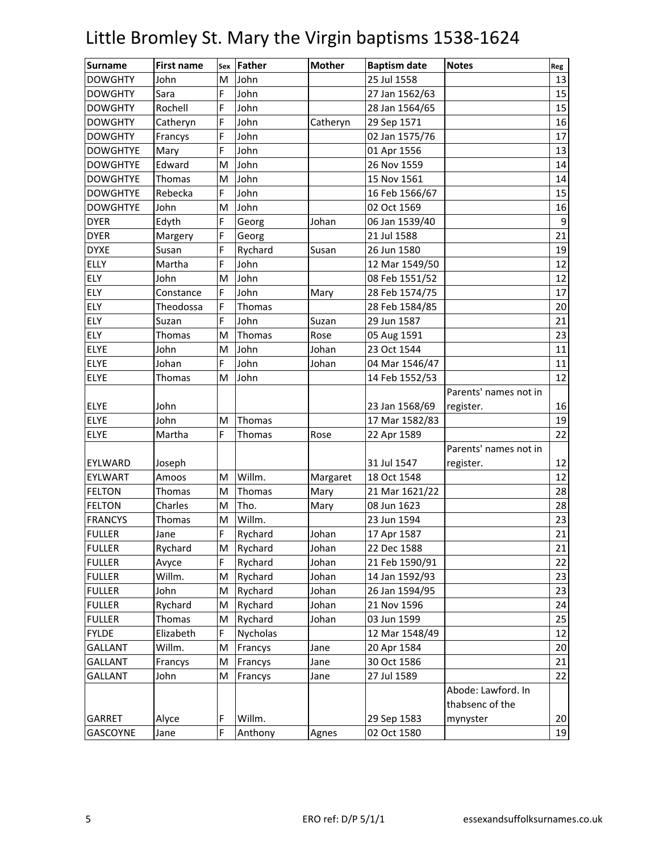| <b>Surname</b>  | <b>First name</b> | Sex | <b>Father</b> | <b>Mother</b> | <b>Baptism date</b> | <b>Notes</b>          | Reg |
|-----------------|-------------------|-----|---------------|---------------|---------------------|-----------------------|-----|
| <b>DOWGHTY</b>  | John              | M   | John          |               | 25 Jul 1558         |                       | 13  |
| <b>DOWGHTY</b>  | Sara              | F   | John          |               | 27 Jan 1562/63      |                       | 15  |
| <b>DOWGHTY</b>  | Rochell           | F   | John          |               | 28 Jan 1564/65      |                       | 15  |
| <b>DOWGHTY</b>  | Catheryn          | F   | John          | Catheryn      | 29 Sep 1571         |                       | 16  |
| <b>DOWGHTY</b>  | Francys           | F   | John          |               | 02 Jan 1575/76      |                       | 17  |
| <b>DOWGHTYE</b> | Mary              | F   | John          |               | 01 Apr 1556         |                       | 13  |
| <b>DOWGHTYE</b> | Edward            | M   | John          |               | 26 Nov 1559         |                       | 14  |
| <b>DOWGHTYE</b> | Thomas            | M   | John          |               | 15 Nov 1561         |                       | 14  |
| <b>DOWGHTYE</b> | Rebecka           | F   | John          |               | 16 Feb 1566/67      |                       | 15  |
| <b>DOWGHTYE</b> | John              | M   | John          |               | 02 Oct 1569         |                       | 16  |
| <b>DYER</b>     | Edyth             | F   | Georg         | Johan         | 06 Jan 1539/40      |                       | 9   |
| <b>DYER</b>     | Margery           | F   | Georg         |               | 21 Jul 1588         |                       | 21  |
| <b>DYXE</b>     | Susan             | F   | Rychard       | Susan         | 26 Jun 1580         |                       | 19  |
| <b>ELLY</b>     | Martha            | F   | John          |               | 12 Mar 1549/50      |                       | 12  |
| ELY             | John              | M   | John          |               | 08 Feb 1551/52      |                       | 12  |
| <b>ELY</b>      | Constance         | F   | John          | Mary          | 28 Feb 1574/75      |                       | 17  |
| ELY             | Theodossa         | F   | Thomas        |               | 28 Feb 1584/85      |                       | 20  |
| ELY             | Suzan             | F   | John          | Suzan         | 29 Jun 1587         |                       | 21  |
| ELY             | Thomas            | M   | Thomas        | Rose          | 05 Aug 1591         |                       | 23  |
| ELYE            | John              | М   | John          | Johan         | 23 Oct 1544         |                       | 11  |
| ELYE            | Johan             | F   | John          | Johan         | 04 Mar 1546/47      |                       | 11  |
| ELYE            | Thomas            | M   | John          |               | 14 Feb 1552/53      |                       | 12  |
|                 |                   |     |               |               |                     | Parents' names not in |     |
| <b>ELYE</b>     | John              |     |               |               | 23 Jan 1568/69      | register.             | 16  |
| ELYE            | John              | M   | Thomas        |               | 17 Mar 1582/83      |                       | 19  |
| <b>ELYE</b>     | Martha            | F   | Thomas        | Rose          | 22 Apr 1589         |                       | 22  |
|                 |                   |     |               |               |                     | Parents' names not in |     |
| EYLWARD         | Joseph            |     |               |               | 31 Jul 1547         | register.             | 12  |
| EYLWART         | Amoos             | M   | Willm.        | Margaret      | 18 Oct 1548         |                       | 12  |
| <b>FELTON</b>   | Thomas            | М   | Thomas        | Mary          | 21 Mar 1621/22      |                       | 28  |
| <b>FELTON</b>   | Charles           | M   | Tho.          | Mary          | 08 Jun 1623         |                       | 28  |
| <b>FRANCYS</b>  | Thomas            | M   | Willm.        |               | 23 Jun 1594         |                       | 23  |
| <b>FULLER</b>   | Jane              | F   | Rychard       | Johan         | 17 Apr 1587         |                       | 21  |
| <b>FULLER</b>   | Rychard           | M   | Rychard       | Johan         | 22 Dec 1588         |                       | 21  |
| <b>FULLER</b>   | Avyce             | F   | Rychard       | Johan         | 21 Feb 1590/91      |                       | 22  |
| <b>FULLER</b>   | Willm.            | M   | Rychard       | Johan         | 14 Jan 1592/93      |                       | 23  |
| <b>FULLER</b>   | John              | M   | Rychard       | Johan         | 26 Jan 1594/95      |                       | 23  |
| <b>FULLER</b>   | Rychard           | M   | Rychard       | Johan         | 21 Nov 1596         |                       | 24  |
| <b>FULLER</b>   | Thomas            | M   | Rychard       | Johan         | 03 Jun 1599         |                       | 25  |
| <b>FYLDE</b>    | Elizabeth         | F   | Nycholas      |               | 12 Mar 1548/49      |                       | 12  |
| <b>GALLANT</b>  | Willm.            | M   | Francys       | Jane          | 20 Apr 1584         |                       | 20  |
| GALLANT         | Francys           | M   | Francys       | Jane          | 30 Oct 1586         |                       | 21  |
| <b>GALLANT</b>  | John              | M   | Francys       | Jane          | 27 Jul 1589         |                       | 22  |
|                 |                   |     |               |               |                     | Abode: Lawford. In    |     |
|                 |                   |     |               |               |                     | thabsenc of the       |     |
| GARRET          | Alyce             | F   | Willm.        |               | 29 Sep 1583         | mynyster              | 20  |
| GASCOYNE        | Jane              | F   | Anthony       | Agnes         | 02 Oct 1580         |                       | 19  |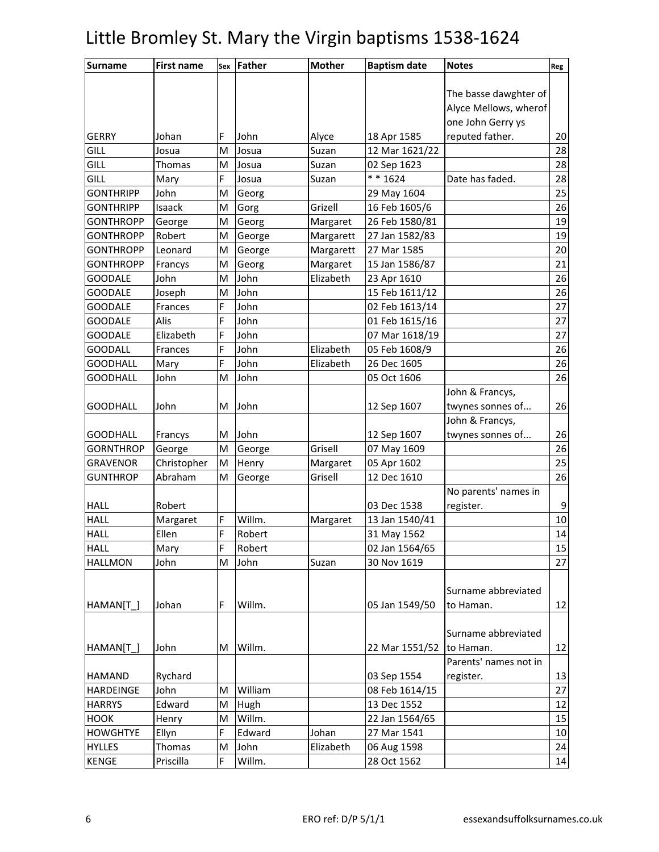| <b>Surname</b>   | <b>First name</b> | Sex | <b>Father</b> | <b>Mother</b> | <b>Baptism date</b> | <b>Notes</b>          | Reg             |
|------------------|-------------------|-----|---------------|---------------|---------------------|-----------------------|-----------------|
|                  |                   |     |               |               |                     |                       |                 |
|                  |                   |     |               |               |                     | The basse dawghter of |                 |
|                  |                   |     |               |               |                     | Alyce Mellows, wherof |                 |
|                  |                   |     |               |               |                     | one John Gerry ys     |                 |
| <b>GERRY</b>     | Johan             | F   | John          | Alyce         | 18 Apr 1585         | reputed father.       | 20              |
| GILL             | Josua             | M   | Josua         | Suzan         | 12 Mar 1621/22      |                       | 28              |
| GILL             | <b>Thomas</b>     | M   | Josua         | Suzan         | 02 Sep 1623         |                       | 28              |
| GILL             | Mary              | F   | Josua         | Suzan         | $* * 1624$          | Date has faded.       | 28              |
| <b>GONTHRIPP</b> | John              | M   | Georg         |               | 29 May 1604         |                       | 25              |
| <b>GONTHRIPP</b> | Isaack            | M   | Gorg          | Grizell       | 16 Feb 1605/6       |                       | 26              |
| <b>GONTHROPP</b> | George            | M   | Georg         | Margaret      | 26 Feb 1580/81      |                       | 19              |
| <b>GONTHROPP</b> | Robert            | M   | George        | Margarett     | 27 Jan 1582/83      |                       | 19              |
| <b>GONTHROPP</b> | Leonard           | M   | George        | Margarett     | 27 Mar 1585         |                       | 20              |
| <b>GONTHROPP</b> | Francys           | M   | Georg         | Margaret      | 15 Jan 1586/87      |                       | 21              |
| <b>GOODALE</b>   | John              | M   | John          | Elizabeth     | 23 Apr 1610         |                       | 26              |
| <b>GOODALE</b>   | Joseph            | M   | John          |               | 15 Feb 1611/12      |                       | 26              |
| <b>GOODALE</b>   | Frances           | F   | John          |               | 02 Feb 1613/14      |                       | 27              |
| <b>GOODALE</b>   | Alis              | F   | John          |               | 01 Feb 1615/16      |                       | $\overline{27}$ |
| <b>GOODALE</b>   | Elizabeth         | F   | John          |               | 07 Mar 1618/19      |                       | 27              |
| <b>GOODALL</b>   | Frances           | F   | John          | Elizabeth     | 05 Feb 1608/9       |                       | 26              |
| <b>GOODHALL</b>  | Mary              | F   | John          | Elizabeth     | 26 Dec 1605         |                       | 26              |
| <b>GOODHALL</b>  | John              | M   | John          |               | 05 Oct 1606         |                       | 26              |
|                  |                   |     |               |               |                     | John & Francys,       |                 |
| <b>GOODHALL</b>  | John              | M   | John          |               | 12 Sep 1607         | twynes sonnes of      | 26              |
|                  |                   |     |               |               |                     | John & Francys,       |                 |
| <b>GOODHALL</b>  | Francys           | M   | John          |               | 12 Sep 1607         | twynes sonnes of      | 26              |
| <b>GORNTHROP</b> | George            | M   | George        | Grisell       | 07 May 1609         |                       | 26              |
| <b>GRAVENOR</b>  | Christopher       | M   | Henry         | Margaret      | 05 Apr 1602         |                       | 25              |
| <b>GUNTHROP</b>  | Abraham           | M   | George        | Grisell       | 12 Dec 1610         |                       | 26              |
|                  |                   |     |               |               |                     | No parents' names in  |                 |
| <b>HALL</b>      | Robert            |     |               |               | 03 Dec 1538         | register.             | 9               |
| HALL             | Margaret          | F   | Willm.        | Margaret      | 13 Jan 1540/41      |                       | 10              |
| <b>HALL</b>      | Ellen             | F   | Robert        |               | 31 May 1562         |                       | 14              |
| <b>HALL</b>      | Mary              | F   | Robert        |               | 02 Jan 1564/65      |                       | 15              |
| <b>HALLMON</b>   | John              | M   | John          | Suzan         | 30 Nov 1619         |                       | 27              |
|                  |                   |     |               |               |                     |                       |                 |
|                  |                   |     |               |               |                     | Surname abbreviated   |                 |
| HAMAN[T]         | Johan             | F   | Willm.        |               | 05 Jan 1549/50      | to Haman.             | 12              |
|                  |                   |     |               |               |                     |                       |                 |
|                  |                   |     |               |               |                     | Surname abbreviated   |                 |
| HAMAN[T_]        | John              | M   | Willm.        |               | 22 Mar 1551/52      | to Haman.             | 12              |
|                  |                   |     |               |               |                     | Parents' names not in |                 |
| <b>HAMAND</b>    | Rychard           |     |               |               | 03 Sep 1554         | register.             | 13              |
| <b>HARDEINGE</b> | John              | M   | William       |               | 08 Feb 1614/15      |                       | 27              |
| <b>HARRYS</b>    | Edward            | M   | Hugh          |               | 13 Dec 1552         |                       | 12              |
| <b>HOOK</b>      | Henry             | M   | Willm.        |               | 22 Jan 1564/65      |                       | 15              |
| <b>HOWGHTYE</b>  | Ellyn             | F   | Edward        | Johan         | 27 Mar 1541         |                       | 10              |
| <b>HYLLES</b>    | Thomas            | M   | John          | Elizabeth     | 06 Aug 1598         |                       | 24              |
| KENGE            | Priscilla         | F   | Willm.        |               | 28 Oct 1562         |                       | 14              |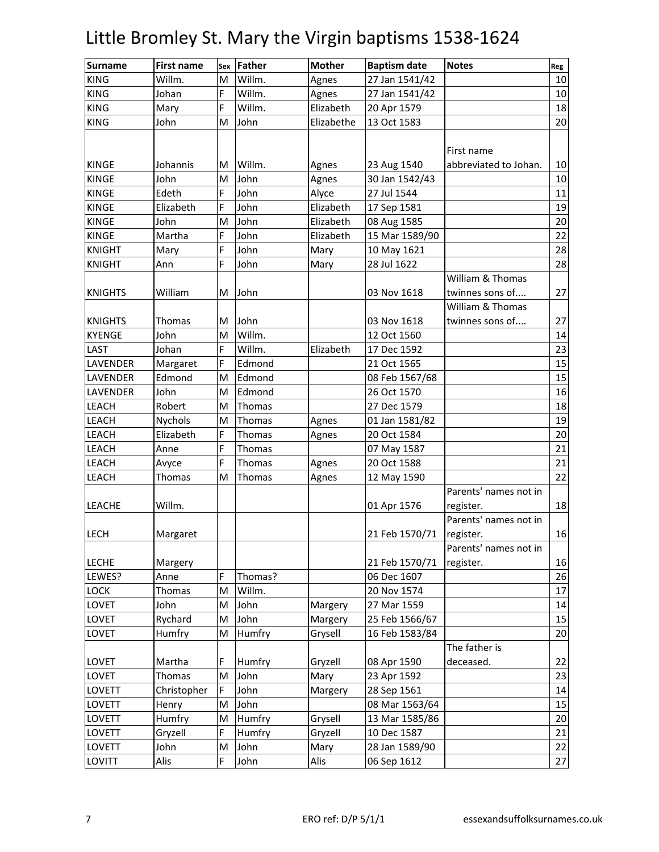| <b>KING</b><br>Willm.<br>27 Jan 1541/42<br>Willm.<br>M<br>Agnes<br><b>KING</b><br>Willm.<br>27 Jan 1541/42<br>Johan<br>F<br>Agnes<br><b>KING</b><br>Willm.<br>Mary<br>F<br>Elizabeth<br>20 Apr 1579<br><b>KING</b><br>13 Oct 1583<br>John<br>John<br>Elizabethe<br>M<br>First name<br><b>KINGE</b><br>Willm.<br>Johannis<br>23 Aug 1540<br>abbreviated to Johan.<br>M<br>Agnes<br><b>KINGE</b><br>John<br>John<br>30 Jan 1542/43<br>M<br>Agnes<br><b>KINGE</b><br>Edeth<br>John<br>27 Jul 1544<br>F<br>Alyce<br><b>KINGE</b><br>Elizabeth<br>John<br>Elizabeth<br>17 Sep 1581<br>F<br><b>KINGE</b><br>John<br>John<br>Elizabeth<br>08 Aug 1585<br>M<br><b>KINGE</b><br>Martha<br>F<br>John<br>15 Mar 1589/90<br>Elizabeth<br><b>KNIGHT</b><br>F<br>John<br>10 May 1621<br>Mary<br>Mary | 10<br>10<br>18<br>20<br>10<br>10<br>11<br>19<br>20<br>22 |
|----------------------------------------------------------------------------------------------------------------------------------------------------------------------------------------------------------------------------------------------------------------------------------------------------------------------------------------------------------------------------------------------------------------------------------------------------------------------------------------------------------------------------------------------------------------------------------------------------------------------------------------------------------------------------------------------------------------------------------------------------------------------------------------|----------------------------------------------------------|
|                                                                                                                                                                                                                                                                                                                                                                                                                                                                                                                                                                                                                                                                                                                                                                                        |                                                          |
|                                                                                                                                                                                                                                                                                                                                                                                                                                                                                                                                                                                                                                                                                                                                                                                        |                                                          |
|                                                                                                                                                                                                                                                                                                                                                                                                                                                                                                                                                                                                                                                                                                                                                                                        |                                                          |
|                                                                                                                                                                                                                                                                                                                                                                                                                                                                                                                                                                                                                                                                                                                                                                                        |                                                          |
|                                                                                                                                                                                                                                                                                                                                                                                                                                                                                                                                                                                                                                                                                                                                                                                        |                                                          |
|                                                                                                                                                                                                                                                                                                                                                                                                                                                                                                                                                                                                                                                                                                                                                                                        |                                                          |
|                                                                                                                                                                                                                                                                                                                                                                                                                                                                                                                                                                                                                                                                                                                                                                                        |                                                          |
|                                                                                                                                                                                                                                                                                                                                                                                                                                                                                                                                                                                                                                                                                                                                                                                        |                                                          |
|                                                                                                                                                                                                                                                                                                                                                                                                                                                                                                                                                                                                                                                                                                                                                                                        |                                                          |
|                                                                                                                                                                                                                                                                                                                                                                                                                                                                                                                                                                                                                                                                                                                                                                                        |                                                          |
|                                                                                                                                                                                                                                                                                                                                                                                                                                                                                                                                                                                                                                                                                                                                                                                        |                                                          |
|                                                                                                                                                                                                                                                                                                                                                                                                                                                                                                                                                                                                                                                                                                                                                                                        |                                                          |
|                                                                                                                                                                                                                                                                                                                                                                                                                                                                                                                                                                                                                                                                                                                                                                                        | 28                                                       |
| <b>KNIGHT</b><br>F<br>28 Jul 1622<br>Ann<br>John<br>Mary                                                                                                                                                                                                                                                                                                                                                                                                                                                                                                                                                                                                                                                                                                                               | 28                                                       |
| William & Thomas                                                                                                                                                                                                                                                                                                                                                                                                                                                                                                                                                                                                                                                                                                                                                                       |                                                          |
| William<br><b>KNIGHTS</b><br>John<br>03 Nov 1618<br>twinnes sons of<br>м                                                                                                                                                                                                                                                                                                                                                                                                                                                                                                                                                                                                                                                                                                               | 27                                                       |
| William & Thomas                                                                                                                                                                                                                                                                                                                                                                                                                                                                                                                                                                                                                                                                                                                                                                       |                                                          |
| John<br><b>KNIGHTS</b><br>03 Nov 1618<br>twinnes sons of<br>Thomas<br>M                                                                                                                                                                                                                                                                                                                                                                                                                                                                                                                                                                                                                                                                                                                | 27                                                       |
| Willm.<br><b>KYENGE</b><br>John<br>12 Oct 1560<br>M                                                                                                                                                                                                                                                                                                                                                                                                                                                                                                                                                                                                                                                                                                                                    | 14                                                       |
| Johan<br>Willm.<br>17 Dec 1592<br>LAST<br>F<br>Elizabeth                                                                                                                                                                                                                                                                                                                                                                                                                                                                                                                                                                                                                                                                                                                               | 23                                                       |
| LAVENDER<br>Edmond<br>Margaret<br>F<br>21 Oct 1565                                                                                                                                                                                                                                                                                                                                                                                                                                                                                                                                                                                                                                                                                                                                     | 15                                                       |
| 08 Feb 1567/68<br>LAVENDER<br>Edmond<br>Edmond<br>M                                                                                                                                                                                                                                                                                                                                                                                                                                                                                                                                                                                                                                                                                                                                    | 15                                                       |
| John<br>Edmond<br>26 Oct 1570<br>LAVENDER<br>M                                                                                                                                                                                                                                                                                                                                                                                                                                                                                                                                                                                                                                                                                                                                         | 16                                                       |
| 27 Dec 1579<br><b>LEACH</b><br>Robert<br>Thomas<br>M                                                                                                                                                                                                                                                                                                                                                                                                                                                                                                                                                                                                                                                                                                                                   | 18                                                       |
| LEACH<br>Nychols<br>Thomas<br>Agnes<br>01 Jan 1581/82<br>M                                                                                                                                                                                                                                                                                                                                                                                                                                                                                                                                                                                                                                                                                                                             | 19                                                       |
| <b>LEACH</b><br>Elizabeth<br>F<br>Thomas<br>20 Oct 1584<br>Agnes                                                                                                                                                                                                                                                                                                                                                                                                                                                                                                                                                                                                                                                                                                                       | 20                                                       |
| <b>LEACH</b><br>F<br>Anne<br>Thomas<br>07 May 1587                                                                                                                                                                                                                                                                                                                                                                                                                                                                                                                                                                                                                                                                                                                                     | 21                                                       |
| 20 Oct 1588<br>LEACH<br>F<br>Thomas<br>Agnes<br>Avyce                                                                                                                                                                                                                                                                                                                                                                                                                                                                                                                                                                                                                                                                                                                                  | 21                                                       |
| LEACH<br>Thomas<br>Thomas<br>12 May 1590<br>M<br>Agnes                                                                                                                                                                                                                                                                                                                                                                                                                                                                                                                                                                                                                                                                                                                                 | 22                                                       |
| Parents' names not in                                                                                                                                                                                                                                                                                                                                                                                                                                                                                                                                                                                                                                                                                                                                                                  |                                                          |
| Willm.<br>LEACHE<br>01 Apr 1576<br>register.                                                                                                                                                                                                                                                                                                                                                                                                                                                                                                                                                                                                                                                                                                                                           | 18                                                       |
| Parents' names not in                                                                                                                                                                                                                                                                                                                                                                                                                                                                                                                                                                                                                                                                                                                                                                  |                                                          |
| <b>LECH</b><br>21 Feb 1570/71<br>Margaret<br>register.                                                                                                                                                                                                                                                                                                                                                                                                                                                                                                                                                                                                                                                                                                                                 | 16                                                       |
| Parents' names not in                                                                                                                                                                                                                                                                                                                                                                                                                                                                                                                                                                                                                                                                                                                                                                  |                                                          |
| <b>LECHE</b><br>21 Feb 1570/71<br>register.<br>Margery                                                                                                                                                                                                                                                                                                                                                                                                                                                                                                                                                                                                                                                                                                                                 | 16                                                       |
| Thomas?<br>LEWES?<br>Anne<br>F<br>06 Dec 1607                                                                                                                                                                                                                                                                                                                                                                                                                                                                                                                                                                                                                                                                                                                                          | 26                                                       |
| Willm.<br>LOCK<br>Thomas<br>20 Nov 1574<br>M                                                                                                                                                                                                                                                                                                                                                                                                                                                                                                                                                                                                                                                                                                                                           | 17                                                       |
| John<br>27 Mar 1559<br>LOVET<br>John<br>M<br>Margery                                                                                                                                                                                                                                                                                                                                                                                                                                                                                                                                                                                                                                                                                                                                   | 14                                                       |
| LOVET<br>John<br>25 Feb 1566/67<br>Rychard<br>M<br>Margery                                                                                                                                                                                                                                                                                                                                                                                                                                                                                                                                                                                                                                                                                                                             | 15                                                       |
| LOVET<br>Humfry<br>Humfry<br>Grysell<br>16 Feb 1583/84<br>M                                                                                                                                                                                                                                                                                                                                                                                                                                                                                                                                                                                                                                                                                                                            | 20                                                       |
| The father is                                                                                                                                                                                                                                                                                                                                                                                                                                                                                                                                                                                                                                                                                                                                                                          |                                                          |
| LOVET<br>08 Apr 1590<br>deceased.<br>Martha<br>F<br>Humfry<br>Gryzell                                                                                                                                                                                                                                                                                                                                                                                                                                                                                                                                                                                                                                                                                                                  | 22                                                       |
| John<br>23 Apr 1592<br>LOVET<br>Thomas<br>M<br>Mary                                                                                                                                                                                                                                                                                                                                                                                                                                                                                                                                                                                                                                                                                                                                    | 23                                                       |
| LOVETT<br>John<br>28 Sep 1561<br>Christopher<br>F<br>Margery                                                                                                                                                                                                                                                                                                                                                                                                                                                                                                                                                                                                                                                                                                                           | 14                                                       |
| 08 Mar 1563/64<br>LOVETT<br>Henry<br>John<br>M                                                                                                                                                                                                                                                                                                                                                                                                                                                                                                                                                                                                                                                                                                                                         | 15                                                       |
| Humfry<br>Humfry<br><b>LOVETT</b><br>Grysell<br>13 Mar 1585/86<br>M                                                                                                                                                                                                                                                                                                                                                                                                                                                                                                                                                                                                                                                                                                                    | 20                                                       |
| Gryzell<br>F<br>Humfry<br>Gryzell<br>10 Dec 1587<br>LOVETT                                                                                                                                                                                                                                                                                                                                                                                                                                                                                                                                                                                                                                                                                                                             | 21                                                       |
| John<br>John<br>28 Jan 1589/90<br>LOVETT<br>Mary<br>M                                                                                                                                                                                                                                                                                                                                                                                                                                                                                                                                                                                                                                                                                                                                  | 22                                                       |
| LOVITT<br>Alis<br>F<br>06 Sep 1612<br>John<br>Alis                                                                                                                                                                                                                                                                                                                                                                                                                                                                                                                                                                                                                                                                                                                                     |                                                          |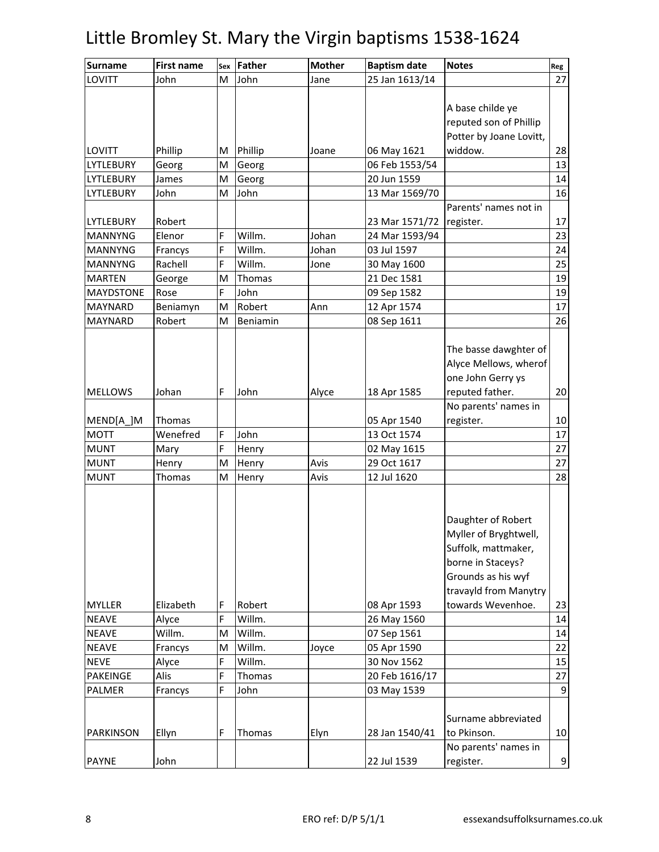| <b>Surname</b>   | <b>First name</b> | Sex | <b>Father</b> | <b>Mother</b> | <b>Baptism date</b> | <b>Notes</b>            | Reg             |
|------------------|-------------------|-----|---------------|---------------|---------------------|-------------------------|-----------------|
| LOVITT           | John              | M   | John          | Jane          | 25 Jan 1613/14      |                         | 27              |
|                  |                   |     |               |               |                     |                         |                 |
|                  |                   |     |               |               |                     | A base childe ye        |                 |
|                  |                   |     |               |               |                     | reputed son of Phillip  |                 |
|                  |                   |     |               |               |                     | Potter by Joane Lovitt, |                 |
| <b>LOVITT</b>    | Phillip           | M   | Phillip       | Joane         | 06 May 1621         | widdow.                 | 28              |
| <b>LYTLEBURY</b> | Georg             | M   | Georg         |               | 06 Feb 1553/54      |                         | 13              |
| LYTLEBURY        | James             | M   | Georg         |               | 20 Jun 1559         |                         | 14              |
| LYTLEBURY        | John              | M   | John          |               | 13 Mar 1569/70      |                         | 16              |
|                  |                   |     |               |               |                     | Parents' names not in   |                 |
| LYTLEBURY        | Robert            |     |               |               | 23 Mar 1571/72      | register.               | 17              |
| <b>MANNYNG</b>   | Elenor            | F   | Willm.        | Johan         | 24 Mar 1593/94      |                         | 23              |
| <b>MANNYNG</b>   | Francys           | F   | Willm.        | Johan         | 03 Jul 1597         |                         | 24              |
| <b>MANNYNG</b>   | Rachell           | F   | Willm.        | Jone          | 30 May 1600         |                         | 25              |
| <b>MARTEN</b>    | George            | M   | Thomas        |               | 21 Dec 1581         |                         | 19              |
| <b>MAYDSTONE</b> | Rose              | F   | John          |               | 09 Sep 1582         |                         | 19              |
| <b>MAYNARD</b>   | Beniamyn          | M   | Robert        | Ann           | 12 Apr 1574         |                         | 17              |
| <b>MAYNARD</b>   | Robert            | м   | Beniamin      |               | 08 Sep 1611         |                         | 26              |
|                  |                   |     |               |               |                     |                         |                 |
|                  |                   |     |               |               |                     | The basse dawghter of   |                 |
|                  |                   |     |               |               |                     | Alyce Mellows, wherof   |                 |
|                  |                   |     |               |               |                     | one John Gerry ys       |                 |
| <b>MELLOWS</b>   | Johan             | F   | John          | Alyce         | 18 Apr 1585         | reputed father.         | 20              |
|                  |                   |     |               |               |                     | No parents' names in    |                 |
| MEND[A_]M        | <b>Thomas</b>     |     |               |               | 05 Apr 1540         | register.               | 10              |
| <b>MOTT</b>      | Wenefred          | F   | John          |               | 13 Oct 1574         |                         | 17              |
| <b>MUNT</b>      | Mary              | F   | Henry         |               | 02 May 1615         |                         | 27              |
| <b>MUNT</b>      | Henry             | M   | Henry         | Avis          | 29 Oct 1617         |                         | $\overline{27}$ |
| <b>MUNT</b>      | Thomas            | M   | Henry         | Avis          | 12 Jul 1620         |                         | 28              |
|                  |                   |     |               |               |                     |                         |                 |
|                  |                   |     |               |               |                     |                         |                 |
|                  |                   |     |               |               |                     | Daughter of Robert      |                 |
|                  |                   |     |               |               |                     | Myller of Bryghtwell,   |                 |
|                  |                   |     |               |               |                     | Suffolk, mattmaker,     |                 |
|                  |                   |     |               |               |                     | borne in Staceys?       |                 |
|                  |                   |     |               |               |                     | Grounds as his wyf      |                 |
|                  |                   |     |               |               |                     | travayld from Manytry   |                 |
| <b>MYLLER</b>    | Elizabeth         | F   | Robert        |               | 08 Apr 1593         | towards Wevenhoe.       | 23              |
| <b>NEAVE</b>     | Alyce             | F   | Willm.        |               | 26 May 1560         |                         | 14              |
| <b>NEAVE</b>     | Willm.            | M   | Willm.        |               | 07 Sep 1561         |                         | 14              |
| <b>NEAVE</b>     | Francys           | M   | Willm.        | Joyce         | 05 Apr 1590         |                         | 22              |
| <b>NEVE</b>      | Alyce             | F   | Willm.        |               | 30 Nov 1562         |                         | 15              |
| <b>PAKEINGE</b>  | Alis              | F   | Thomas        |               | 20 Feb 1616/17      |                         | $\overline{27}$ |
| PALMER           | Francys           | F   | John          |               | 03 May 1539         |                         | 9               |
|                  |                   |     |               |               |                     |                         |                 |
|                  |                   |     |               |               |                     | Surname abbreviated     |                 |
| PARKINSON        | Ellyn             | F   | Thomas        | Elyn          | 28 Jan 1540/41      | to Pkinson.             | 10              |
|                  |                   |     |               |               |                     | No parents' names in    |                 |
| <b>PAYNE</b>     | John              |     |               |               | 22 Jul 1539         | register.               | $\overline{9}$  |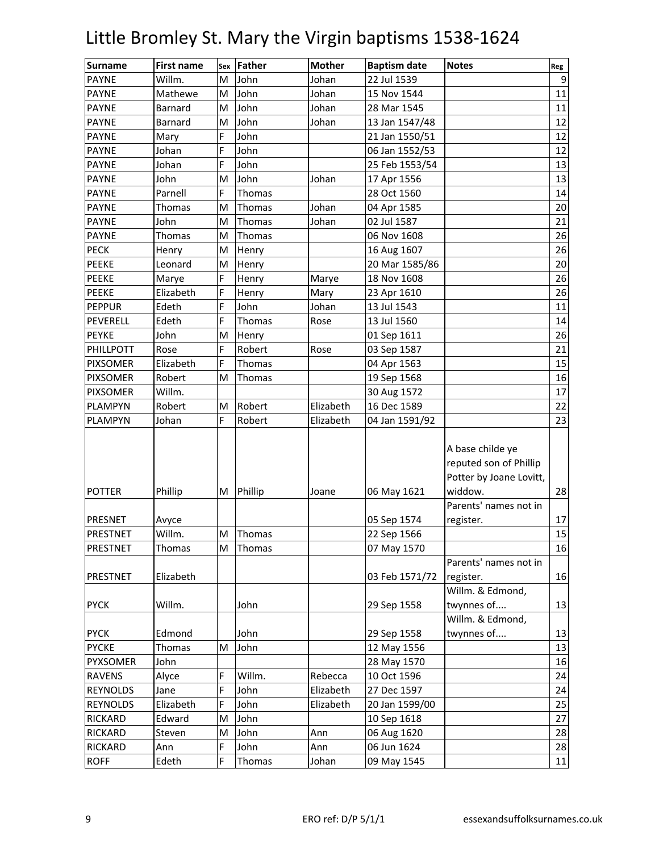| <b>Surname</b>  | <b>First name</b> | Sex | <b>Father</b> | <b>Mother</b> | <b>Baptism date</b> | <b>Notes</b>                                                          | Reg |
|-----------------|-------------------|-----|---------------|---------------|---------------------|-----------------------------------------------------------------------|-----|
| <b>PAYNE</b>    | Willm.            | M   | John          | Johan         | 22 Jul 1539         |                                                                       | 9   |
| <b>PAYNE</b>    | Mathewe           | м   | John          | Johan         | 15 Nov 1544         |                                                                       | 11  |
| <b>PAYNE</b>    | Barnard           | M   | John          | Johan         | 28 Mar 1545         |                                                                       | 11  |
| <b>PAYNE</b>    | Barnard           | M   | John          | Johan         | 13 Jan 1547/48      |                                                                       | 12  |
| <b>PAYNE</b>    | Mary              | F   | John          |               | 21 Jan 1550/51      |                                                                       | 12  |
| <b>PAYNE</b>    | Johan             | F   | John          |               | 06 Jan 1552/53      |                                                                       | 12  |
| <b>PAYNE</b>    | Johan             | F   | John          |               | 25 Feb 1553/54      |                                                                       | 13  |
| <b>PAYNE</b>    | John              | M   | John          | Johan         | 17 Apr 1556         |                                                                       | 13  |
| <b>PAYNE</b>    | Parnell           | F   | Thomas        |               | 28 Oct 1560         |                                                                       | 14  |
| <b>PAYNE</b>    | Thomas            | M   | Thomas        | Johan         | 04 Apr 1585         |                                                                       | 20  |
| <b>PAYNE</b>    | John              | M   | Thomas        | Johan         | 02 Jul 1587         |                                                                       | 21  |
| <b>PAYNE</b>    | <b>Thomas</b>     | M   | Thomas        |               | 06 Nov 1608         |                                                                       | 26  |
| <b>PECK</b>     | Henry             | M   | Henry         |               | 16 Aug 1607         |                                                                       | 26  |
| <b>PEEKE</b>    | Leonard           | M   | Henry         |               | 20 Mar 1585/86      |                                                                       | 20  |
| <b>PEEKE</b>    | Marye             | F   | Henry         | Marye         | 18 Nov 1608         |                                                                       | 26  |
| PEEKE           | Elizabeth         | F   | Henry         | Mary          | 23 Apr 1610         |                                                                       | 26  |
| <b>PEPPUR</b>   | Edeth             | F   | John          | Johan         | 13 Jul 1543         |                                                                       | 11  |
| PEVERELL        | Edeth             | F   | Thomas        | Rose          | 13 Jul 1560         |                                                                       | 14  |
| <b>PEYKE</b>    | John              | M   | Henry         |               | 01 Sep 1611         |                                                                       | 26  |
| PHILLPOTT       | Rose              | F   | Robert        | Rose          | 03 Sep 1587         |                                                                       | 21  |
| <b>PIXSOMER</b> | Elizabeth         | F   | Thomas        |               | 04 Apr 1563         |                                                                       | 15  |
| <b>PIXSOMER</b> | Robert            | M   | Thomas        |               | 19 Sep 1568         |                                                                       | 16  |
| <b>PIXSOMER</b> | Willm.            |     |               |               | 30 Aug 1572         |                                                                       | 17  |
| PLAMPYN         | Robert            | M   | Robert        | Elizabeth     | 16 Dec 1589         |                                                                       | 22  |
| PLAMPYN         | Johan             | F   | Robert        | Elizabeth     | 04 Jan 1591/92      |                                                                       | 23  |
|                 |                   |     |               |               |                     | A base childe ye<br>reputed son of Phillip<br>Potter by Joane Lovitt, |     |
| <b>POTTER</b>   | Phillip           | М   | Phillip       | Joane         | 06 May 1621         | widdow.                                                               | 28  |
|                 |                   |     |               |               |                     | Parents' names not in                                                 |     |
| PRESNET         | Avyce             |     |               |               | 05 Sep 1574         | register.                                                             | 17  |
| <b>PRESTNET</b> | Willm.            | M   | Thomas        |               | 22 Sep 1566         |                                                                       | 15  |
| PRESTNET        | Thomas            | M   | Thomas        |               | 07 May 1570         |                                                                       | 16  |
|                 |                   |     |               |               |                     | Parents' names not in                                                 |     |
| PRESTNET        | Elizabeth         |     |               |               | 03 Feb 1571/72      | register.                                                             | 16  |
|                 |                   |     |               |               |                     | Willm. & Edmond,                                                      |     |
| <b>PYCK</b>     | Willm.            |     | John          |               | 29 Sep 1558         | twynnes of                                                            | 13  |
|                 |                   |     |               |               |                     | Willm. & Edmond,                                                      |     |
| <b>PYCK</b>     | Edmond            |     | John          |               | 29 Sep 1558         | twynnes of                                                            | 13  |
| <b>PYCKE</b>    | Thomas            | M   | John          |               | 12 May 1556         |                                                                       | 13  |
| PYXSOMER        | John              |     |               |               | 28 May 1570         |                                                                       | 16  |
| <b>RAVENS</b>   | Alyce             | F   | Willm.        | Rebecca       | 10 Oct 1596         |                                                                       | 24  |
| <b>REYNOLDS</b> | Jane              | F   | John          | Elizabeth     | 27 Dec 1597         |                                                                       | 24  |
| <b>REYNOLDS</b> | Elizabeth         | F   | John          | Elizabeth     | 20 Jan 1599/00      |                                                                       | 25  |
| RICKARD         | Edward            | M   | John          |               | 10 Sep 1618         |                                                                       | 27  |
| RICKARD         | Steven            | M   | John          | Ann           | 06 Aug 1620         |                                                                       | 28  |
| RICKARD         | Ann               | F   | John          | Ann           | 06 Jun 1624         |                                                                       | 28  |
| <b>ROFF</b>     | Edeth             | F   | Thomas        | Johan         | 09 May 1545         |                                                                       | 11  |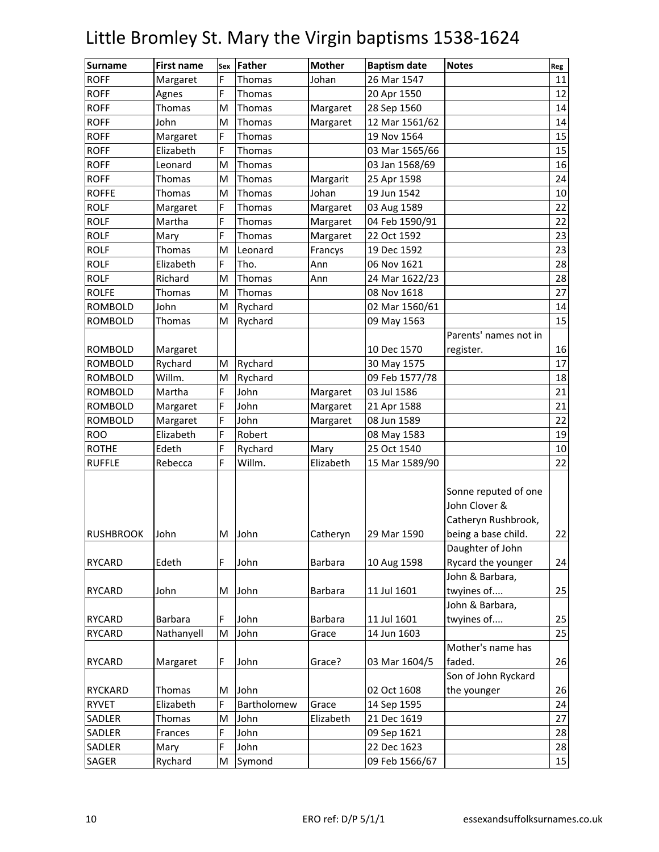| <b>Surname</b>   | <b>First name</b> | Sex | <b>Father</b> | <b>Mother</b>  | <b>Baptism date</b> | <b>Notes</b>                                                                        | Reg |
|------------------|-------------------|-----|---------------|----------------|---------------------|-------------------------------------------------------------------------------------|-----|
| <b>ROFF</b>      | Margaret          | F   | Thomas        | Johan          | 26 Mar 1547         |                                                                                     | 11  |
| <b>ROFF</b>      | Agnes             | F   | Thomas        |                | 20 Apr 1550         |                                                                                     | 12  |
| <b>ROFF</b>      | Thomas            | M   | Thomas        | Margaret       | 28 Sep 1560         |                                                                                     | 14  |
| <b>ROFF</b>      | John              | M   | Thomas        | Margaret       | 12 Mar 1561/62      |                                                                                     | 14  |
| <b>ROFF</b>      | Margaret          | F   | Thomas        |                | 19 Nov 1564         |                                                                                     | 15  |
| <b>ROFF</b>      | Elizabeth         | F   | Thomas        |                | 03 Mar 1565/66      |                                                                                     | 15  |
| <b>ROFF</b>      | Leonard           | M   | Thomas        |                | 03 Jan 1568/69      |                                                                                     | 16  |
| <b>ROFF</b>      | Thomas            | M   | Thomas        | Margarit       | 25 Apr 1598         |                                                                                     | 24  |
| <b>ROFFE</b>     | Thomas            | M   | Thomas        | Johan          | 19 Jun 1542         |                                                                                     | 10  |
| <b>ROLF</b>      | Margaret          | F   | Thomas        | Margaret       | 03 Aug 1589         |                                                                                     | 22  |
| <b>ROLF</b>      | Martha            | F   | Thomas        | Margaret       | 04 Feb 1590/91      |                                                                                     | 22  |
| <b>ROLF</b>      | Mary              | F   | Thomas        | Margaret       | 22 Oct 1592         |                                                                                     | 23  |
| <b>ROLF</b>      | <b>Thomas</b>     | M   | Leonard       | Francys        | 19 Dec 1592         |                                                                                     | 23  |
| <b>ROLF</b>      | Elizabeth         | F   | Tho.          | Ann            | 06 Nov 1621         |                                                                                     | 28  |
| <b>ROLF</b>      | Richard           | M   | Thomas        | Ann            | 24 Mar 1622/23      |                                                                                     | 28  |
| <b>ROLFE</b>     | Thomas            | M   | Thomas        |                | 08 Nov 1618         |                                                                                     | 27  |
| <b>ROMBOLD</b>   | John              | M   | Rychard       |                | 02 Mar 1560/61      |                                                                                     | 14  |
| <b>ROMBOLD</b>   | Thomas            | M   | Rychard       |                | 09 May 1563         |                                                                                     | 15  |
|                  |                   |     |               |                |                     | Parents' names not in                                                               |     |
| <b>ROMBOLD</b>   | Margaret          |     |               |                | 10 Dec 1570         | register.                                                                           | 16  |
| <b>ROMBOLD</b>   | Rychard           | M   | Rychard       |                | 30 May 1575         |                                                                                     | 17  |
| <b>ROMBOLD</b>   | Willm.            | M   | Rychard       |                | 09 Feb 1577/78      |                                                                                     | 18  |
| <b>ROMBOLD</b>   | Martha            | F   | John          | Margaret       | 03 Jul 1586         |                                                                                     | 21  |
| <b>ROMBOLD</b>   | Margaret          | F   | John          | Margaret       | 21 Apr 1588         |                                                                                     | 21  |
| <b>ROMBOLD</b>   | Margaret          | F   | John          | Margaret       | 08 Jun 1589         |                                                                                     | 22  |
| <b>ROO</b>       | Elizabeth         | F   | Robert        |                | 08 May 1583         |                                                                                     | 19  |
| <b>ROTHE</b>     | Edeth             | F   | Rychard       | Mary           | 25 Oct 1540         |                                                                                     | 10  |
| <b>RUFFLE</b>    | Rebecca           | F   | Willm.        | Elizabeth      | 15 Mar 1589/90      |                                                                                     | 22  |
| <b>RUSHBROOK</b> | John              | М   | John          | Catheryn       | 29 Mar 1590         | Sonne reputed of one<br>John Clover &<br>Catheryn Rushbrook,<br>being a base child. | 22  |
|                  |                   |     |               |                |                     | Daughter of John                                                                    |     |
| <b>RYCARD</b>    | Edeth             | F   | John          | Barbara        | 10 Aug 1598         | Rycard the younger                                                                  | 24  |
|                  |                   |     |               |                |                     | John & Barbara,                                                                     |     |
| RYCARD           | John              | M   | John          | Barbara        | 11 Jul 1601         | twyines of                                                                          | 25  |
|                  |                   |     |               |                |                     | John & Barbara,                                                                     |     |
| <b>RYCARD</b>    | Barbara           | F   | John          | <b>Barbara</b> | 11 Jul 1601         | twyines of                                                                          | 25  |
| <b>RYCARD</b>    | Nathanyell        | M   | John          | Grace          | 14 Jun 1603         |                                                                                     | 25  |
|                  |                   |     |               |                |                     | Mother's name has                                                                   |     |
| <b>RYCARD</b>    | Margaret          | F   | John          | Grace?         | 03 Mar 1604/5       | faded.                                                                              | 26  |
|                  |                   |     |               |                |                     | Son of John Ryckard                                                                 |     |
| <b>RYCKARD</b>   | Thomas            | M   | John          |                | 02 Oct 1608         | the younger                                                                         | 26  |
| <b>RYVET</b>     | Elizabeth         | F   | Bartholomew   | Grace          | 14 Sep 1595         |                                                                                     | 24  |
| SADLER           | Thomas            | M   | John          | Elizabeth      | 21 Dec 1619         |                                                                                     | 27  |
| SADLER           | Frances           | F   | John          |                | 09 Sep 1621         |                                                                                     | 28  |
| SADLER           | Mary              | F   | John          |                | 22 Dec 1623         |                                                                                     | 28  |
| SAGER            | Rychard           | M   | Symond        |                | 09 Feb 1566/67      |                                                                                     | 15  |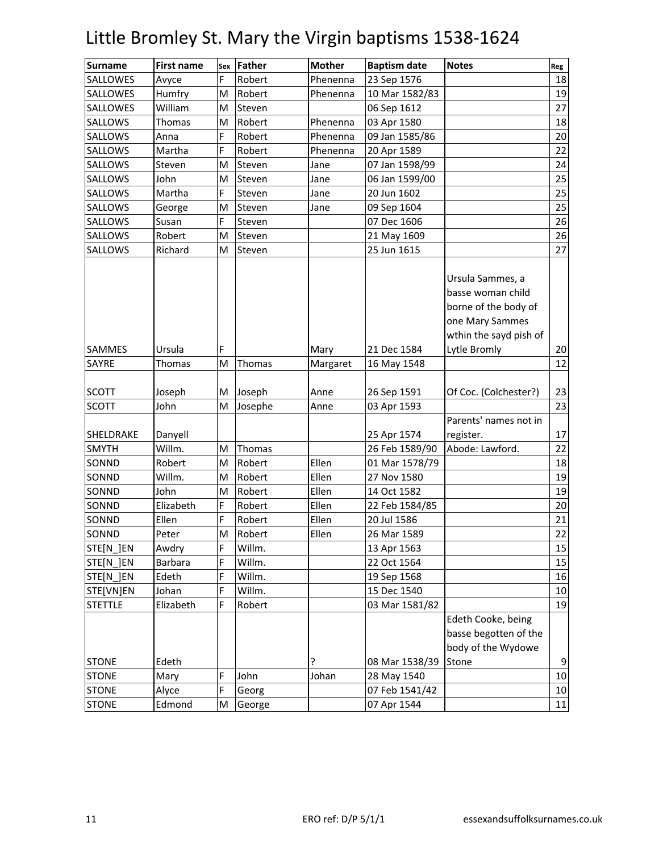| <b>Surname</b>  | <b>First name</b> | Sex | Father  | <b>Mother</b> | <b>Baptism date</b> | <b>Notes</b>                                                                                               | Reg |
|-----------------|-------------------|-----|---------|---------------|---------------------|------------------------------------------------------------------------------------------------------------|-----|
| <b>SALLOWES</b> | Avyce             | F   | Robert  | Phenenna      | 23 Sep 1576         |                                                                                                            | 18  |
| SALLOWES        | Humfry            | M   | Robert  | Phenenna      | 10 Mar 1582/83      |                                                                                                            | 19  |
| SALLOWES        | William           | M   | Steven  |               | 06 Sep 1612         |                                                                                                            | 27  |
| SALLOWS         | Thomas            | M   | Robert  | Phenenna      | 03 Apr 1580         |                                                                                                            | 18  |
| SALLOWS         | Anna              | F   | Robert  | Phenenna      | 09 Jan 1585/86      |                                                                                                            | 20  |
| SALLOWS         | Martha            | F   | Robert  | Phenenna      | 20 Apr 1589         |                                                                                                            | 22  |
| SALLOWS         | Steven            | M   | Steven  | Jane          | 07 Jan 1598/99      |                                                                                                            | 24  |
| SALLOWS         | John              | M   | Steven  | Jane          | 06 Jan 1599/00      |                                                                                                            | 25  |
| SALLOWS         | Martha            | F   | Steven  | Jane          | 20 Jun 1602         |                                                                                                            | 25  |
| SALLOWS         | George            | M   | Steven  | Jane          | 09 Sep 1604         |                                                                                                            | 25  |
| SALLOWS         | Susan             | F   | Steven  |               | 07 Dec 1606         |                                                                                                            | 26  |
| SALLOWS         | Robert            | M   | Steven  |               | 21 May 1609         |                                                                                                            | 26  |
| SALLOWS         | Richard           | M   | Steven  |               | 25 Jun 1615         |                                                                                                            | 27  |
|                 |                   |     |         |               |                     | Ursula Sammes, a<br>basse woman child<br>borne of the body of<br>one Mary Sammes<br>wthin the sayd pish of |     |
| SAMMES          | Ursula            | F   |         | Mary          | 21 Dec 1584         | Lytle Bromly                                                                                               | 20  |
| <b>SAYRE</b>    | Thomas            | M   | Thomas  | Margaret      | 16 May 1548         |                                                                                                            | 12  |
|                 |                   |     |         |               |                     |                                                                                                            |     |
| <b>SCOTT</b>    | Joseph            | M   | Joseph  | Anne          | 26 Sep 1591         | Of Coc. (Colchester?)                                                                                      | 23  |
| <b>SCOTT</b>    | John              | M   | Josephe | Anne          | 03 Apr 1593         |                                                                                                            | 23  |
|                 |                   |     |         |               |                     | Parents' names not in                                                                                      |     |
| SHELDRAKE       | Danyell           |     |         |               | 25 Apr 1574         | register.                                                                                                  | 17  |
| <b>SMYTH</b>    | Willm.            | M   | Thomas  |               | 26 Feb 1589/90      | Abode: Lawford.                                                                                            | 22  |
| SONND           | Robert            | M   | Robert  | Ellen         | 01 Mar 1578/79      |                                                                                                            | 18  |
| SONND           | Willm.            | M   | Robert  | Ellen         | 27 Nov 1580         |                                                                                                            | 19  |
| SONND           | John              | М   | Robert  | Ellen         | 14 Oct 1582         |                                                                                                            | 19  |
| SONND           | Elizabeth         | F   | Robert  | Ellen         | 22 Feb 1584/85      |                                                                                                            | 20  |
| SONND           | Ellen             | F   | Robert  | Ellen         | 20 Jul 1586         |                                                                                                            | 21  |
| SONND           | Peter             | M   | Robert  | Ellen         | 26 Mar 1589         |                                                                                                            | 22  |
| STE[N_]EN       | Awdry             | F   | Willm.  |               | 13 Apr 1563         |                                                                                                            | 15  |
| STE[N ]EN       | Barbara           | F   | Willm.  |               | 22 Oct 1564         |                                                                                                            | 15  |
| STE[N_]EN       | Edeth             | F   | Willm.  |               | 19 Sep 1568         |                                                                                                            | 16  |
| STE[VN]EN       | Johan             | F   | Willm.  |               | 15 Dec 1540         |                                                                                                            | 10  |
| <b>STETTLE</b>  | Elizabeth         | F   | Robert  |               | 03 Mar 1581/82      |                                                                                                            | 19  |
| <b>STONE</b>    | Edeth             |     |         | ?             | 08 Mar 1538/39      | Edeth Cooke, being<br>basse begotten of the<br>body of the Wydowe<br>Stone                                 | 9   |
| <b>STONE</b>    | Mary              | F   | John    | Johan         | 28 May 1540         |                                                                                                            | 10  |
| <b>STONE</b>    | Alyce             | F   | Georg   |               | 07 Feb 1541/42      |                                                                                                            | 10  |
| <b>STONE</b>    | Edmond            | M   | George  |               | 07 Apr 1544         |                                                                                                            | 11  |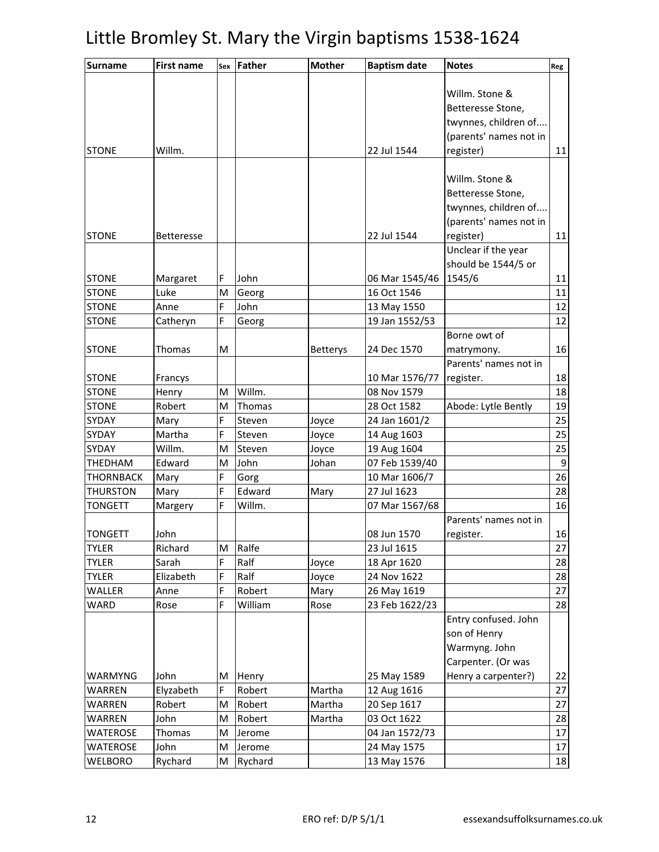| <b>Surname</b>  | <b>First name</b> | Sex    | Father          | <b>Mother</b>   | <b>Baptism date</b> | <b>Notes</b>                              | Reg |
|-----------------|-------------------|--------|-----------------|-----------------|---------------------|-------------------------------------------|-----|
|                 |                   |        |                 |                 |                     |                                           |     |
|                 |                   |        |                 |                 |                     | Willm. Stone &                            |     |
|                 |                   |        |                 |                 |                     | Betteresse Stone,                         |     |
|                 |                   |        |                 |                 |                     | twynnes, children of                      |     |
|                 |                   |        |                 |                 |                     | (parents' names not in                    |     |
| <b>STONE</b>    | Willm.            |        |                 |                 | 22 Jul 1544         | register)                                 | 11  |
|                 |                   |        |                 |                 |                     | Willm. Stone &                            |     |
|                 |                   |        |                 |                 |                     | Betteresse Stone,                         |     |
|                 |                   |        |                 |                 |                     | twynnes, children of                      |     |
|                 |                   |        |                 |                 |                     | (parents' names not in                    |     |
| <b>STONE</b>    | <b>Betteresse</b> |        |                 |                 | 22 Jul 1544         | register)                                 | 11  |
|                 |                   |        |                 |                 |                     | Unclear if the year                       |     |
|                 |                   |        |                 |                 |                     | should be 1544/5 or                       |     |
| <b>STONE</b>    | Margaret          | F      | John            |                 | 06 Mar 1545/46      | 1545/6                                    | 11  |
| <b>STONE</b>    | Luke              | M      | Georg           |                 | 16 Oct 1546         |                                           | 11  |
| <b>STONE</b>    | Anne              | F      | John            |                 | 13 May 1550         |                                           | 12  |
| <b>STONE</b>    | Catheryn          | F      | Georg           |                 | 19 Jan 1552/53      |                                           | 12  |
|                 |                   |        |                 |                 |                     | Borne owt of                              |     |
| <b>STONE</b>    | <b>Thomas</b>     | M      |                 | <b>Betterys</b> | 24 Dec 1570         | matrymony.                                | 16  |
|                 |                   |        |                 |                 |                     | Parents' names not in                     |     |
| <b>STONE</b>    | Francys           |        |                 |                 | 10 Mar 1576/77      | register.                                 | 18  |
| <b>STONE</b>    | Henry             | M      | Willm.          |                 | 08 Nov 1579         |                                           | 18  |
| <b>STONE</b>    | Robert            | M      | Thomas          |                 | 28 Oct 1582         | Abode: Lytle Bently                       | 19  |
| SYDAY           | Mary              | F      | Steven          | Joyce           | 24 Jan 1601/2       |                                           | 25  |
| SYDAY           | Martha            | F      | Steven          | Joyce           | 14 Aug 1603         |                                           | 25  |
| SYDAY           | Willm.            | M      | Steven          | Joyce           | 19 Aug 1604         |                                           | 25  |
| THEDHAM         | Edward            | M      | John            | Johan           | 07 Feb 1539/40      |                                           | 9   |
| THORNBACK       | Mary              | F      | Gorg            |                 | 10 Mar 1606/7       |                                           | 26  |
| <b>THURSTON</b> | Mary              | F      | Edward          | Mary            | 27 Jul 1623         |                                           | 28  |
| <b>TONGETT</b>  | Margery           | F      | Willm.          |                 | 07 Mar 1567/68      |                                           | 16  |
|                 |                   |        |                 |                 |                     | Parents' names not in                     |     |
| <b>TONGETT</b>  | John              |        |                 |                 | 08 Jun 1570         | register.                                 | 16  |
| <b>TYLER</b>    | Richard           | M      | Ralfe           |                 | 23 Jul 1615         |                                           | 27  |
| <b>TYLER</b>    | Sarah             | F      | Ralf            | Joyce           | 18 Apr 1620         |                                           | 28  |
| <b>TYLER</b>    | Elizabeth         | F      | Ralf            | Joyce           | 24 Nov 1622         |                                           | 28  |
| WALLER          | Anne              | F      | Robert          | Mary            | 26 May 1619         |                                           | 27  |
| WARD            | Rose              | F      | William         | Rose            | 23 Feb 1622/23      |                                           | 28  |
|                 |                   |        |                 |                 |                     | Entry confused. John                      |     |
|                 |                   |        |                 |                 |                     | son of Henry                              |     |
|                 |                   |        |                 |                 |                     | Warmyng. John                             |     |
| WARMYNG         | John              |        |                 |                 | 25 May 1589         | Carpenter. (Or was<br>Henry a carpenter?) | 22  |
| WARREN          | Elyzabeth         | м<br>F | Henry<br>Robert | Martha          | 12 Aug 1616         |                                           | 27  |
| WARREN          | Robert            | M      | Robert          | Martha          | 20 Sep 1617         |                                           | 27  |
| WARREN          | John              | M      | Robert          | Martha          | 03 Oct 1622         |                                           | 28  |
| WATEROSE        | Thomas            | M      | Jerome          |                 | 04 Jan 1572/73      |                                           | 17  |
| WATEROSE        | John              | M      | Jerome          |                 | 24 May 1575         |                                           | 17  |
| WELBORO         | Rychard           | М      | Rychard         |                 | 13 May 1576         |                                           | 18  |
|                 |                   |        |                 |                 |                     |                                           |     |